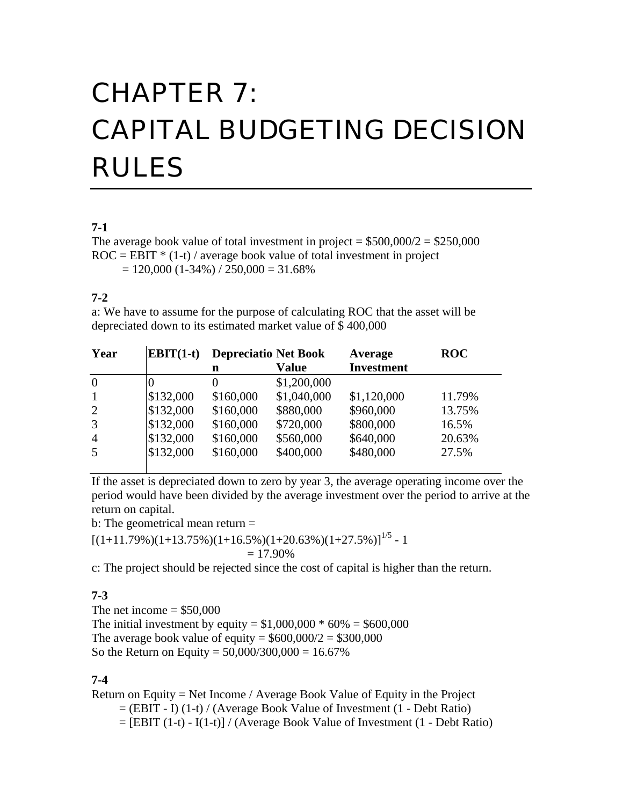# CHAPTER 7: CAPITAL BUDGETING DECISION RULES

#### **7-1**

The average book value of total investment in project =  $$500,000/2 = $250,000$  $ROC = EBIT * (1-t) / average book value of total investment in project$  $= 120,000$  (1-34%) / 250,000 = 31.68%

### **7-2**

a: We have to assume for the purpose of calculating ROC that the asset will be depreciated down to its estimated market value of \$ 400,000

| $EBIT(1-t)$ |           |              | Average                     | <b>ROC</b> |
|-------------|-----------|--------------|-----------------------------|------------|
|             | n         | <b>Value</b> | <b>Investment</b>           |            |
|             |           | \$1,200,000  |                             |            |
| \$132,000   | \$160,000 | \$1,040,000  | \$1,120,000                 | 11.79%     |
| \$132,000   | \$160,000 | \$880,000    | \$960,000                   | 13.75%     |
| \$132,000   | \$160,000 | \$720,000    | \$800,000                   | 16.5%      |
| \$132,000   | \$160,000 | \$560,000    | \$640,000                   | 20.63%     |
| \$132,000   | \$160,000 | \$400,000    | \$480,000                   | 27.5%      |
|             |           |              | <b>Depreciatio Net Book</b> |            |

If the asset is depreciated down to zero by year 3, the average operating income over the period would have been divided by the average investment over the period to arrive at the return on capital.

b: The geometrical mean return =

 $[(1+11.79\%/1+13.75\%/1+16.5\%/1+20.63\%/1+27.5\%)]^{1/5} - 1$ 

$$
=17.90\%
$$

c: The project should be rejected since the cost of capital is higher than the return.

#### **7-3**

The net income  $=$  \$50,000 The initial investment by equity =  $$1,000,000 * 60\% = $600,000$ The average book value of equity =  $$600,000/2 = $300,000$ So the Return on Equity =  $50,000/300,000 = 16.67\%$ 

#### **7-4**

Return on Equity = Net Income / Average Book Value of Equity in the Project  $=$  (EBIT - I) (1-t) / (Average Book Value of Investment (1 - Debt Ratio)  $=$  [EBIT (1-t) - I(1-t)] / (Average Book Value of Investment (1 - Debt Ratio)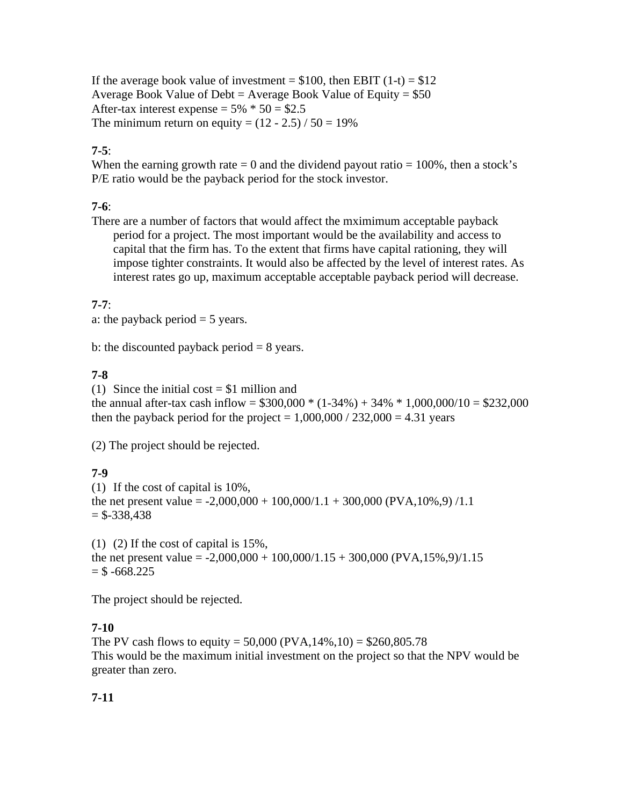If the average book value of investment =  $$100$ , then EBIT (1-t) =  $$12$ Average Book Value of Debt = Average Book Value of Equity =  $$50$ After-tax interest expense =  $5\% * 50 = $2.5$ The minimum return on equity =  $(12 - 2.5) / 50 = 19\%$ 

# **7-5**:

When the earning growth rate  $= 0$  and the dividend payout ratio  $= 100\%$ , then a stock's P/E ratio would be the payback period for the stock investor.

# **7-6**:

There are a number of factors that would affect the mximimum acceptable payback period for a project. The most important would be the availability and access to capital that the firm has. To the extent that firms have capital rationing, they will impose tighter constraints. It would also be affected by the level of interest rates. As interest rates go up, maximum acceptable acceptable payback period will decrease.

## **7-7**:

a: the payback period  $=$  5 years.

b: the discounted payback period  $= 8$  years.

## **7-8**

(1) Since the initial cost  $= $1$  million and the annual after-tax cash inflow =  $$300,000 * (1-34%) + 34% * 1,000,000/10 = $232,000$ then the payback period for the project =  $1,000,000 / 232,000 = 4.31$  years

(2) The project should be rejected.

# **7-9**

(1) If the cost of capital is 10%, the net present value =  $-2,000,000 + 100,000/1.1 + 300,000$  (PVA, 10%, 9) /1.1  $=$  \$-338,438

(1) (2) If the cost of capital is 15%, the net present value =  $-2,000,000 + 100,000/1.15 + 300,000$  (PVA,15%,9)/1.15  $=$  \$ -668.225

The project should be rejected.

## **7-10**

The PV cash flows to equity =  $50,000$  (PVA,  $14\%, 10$ ) = \$260,805.78 This would be the maximum initial investment on the project so that the NPV would be greater than zero.

# **7-11**